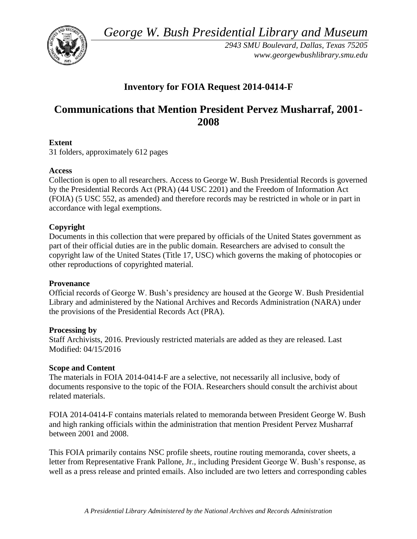*George W. Bush Presidential Library and Museum* 



*2943 SMU Boulevard, Dallas, Texas 75205 <www.georgewbushlibrary.smu.edu>* 

## **Inventory for FOIA Request 2014-0414-F**

# **Communications that Mention President Pervez Musharraf, 2001- 2008**

### **Extent**

31 folders, approximately 612 pages

### **Access**

Collection is open to all researchers. Access to George W. Bush Presidential Records is governed by the Presidential Records Act (PRA) (44 USC 2201) and the Freedom of Information Act (FOIA) (5 USC 552, as amended) and therefore records may be restricted in whole or in part in accordance with legal exemptions.

## **Copyright**

 Documents in this collection that were prepared by officials of the United States government as part of their official duties are in the public domain. Researchers are advised to consult the copyright law of the United States (Title 17, USC) which governs the making of photocopies or other reproductions of copyrighted material.

### **Provenance**

Official records of George W. Bush's presidency are housed at the George W. Bush Presidential Library and administered by the National Archives and Records Administration (NARA) under the provisions of the Presidential Records Act (PRA).

### **Processing by**

Staff Archivists, 2016. Previously restricted materials are added as they are released. Last Modified: 04/15/2016

### **Scope and Content**

 documents responsive to the topic of the FOIA. Researchers should consult the archivist about The materials in FOIA 2014-0414-F are a selective, not necessarily all inclusive, body of related materials.

FOIA 2014-0414-F contains materials related to memoranda between President George W. Bush and high ranking officials within the administration that mention President Pervez Musharraf between 2001 and 2008.

This FOIA primarily contains NSC profile sheets, routine routing memoranda, cover sheets, a letter from Representative Frank Pallone, Jr., including President George W. Bush's response, as well as a press release and printed emails. Also included are two letters and corresponding cables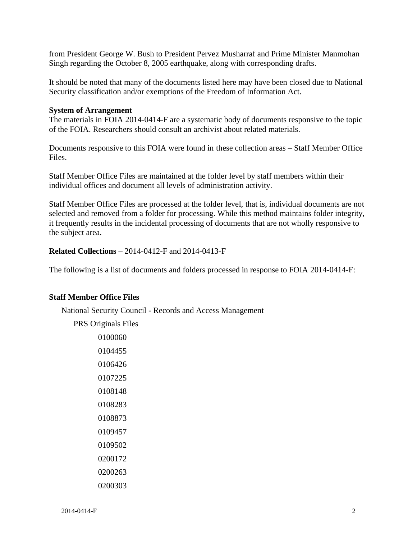Singh regarding the October 8, 2005 earthquake, along with corresponding drafts. from President George W. Bush to President Pervez Musharraf and Prime Minister Manmohan

It should be noted that many of the documents listed here may have been closed due to National Security classification and/or exemptions of the Freedom of Information Act.

#### **System of Arrangement**

 The materials in FOIA 2014-0414-F are a systematic body of documents responsive to the topic of the FOIA. Researchers should consult an archivist about related materials.

Documents responsive to this FOIA were found in these collection areas – Staff Member Office Files.

 Staff Member Office Files are maintained at the folder level by staff members within their individual offices and document all levels of administration activity.

Staff Member Office Files are processed at the folder level, that is, individual documents are not selected and removed from a folder for processing. While this method maintains folder integrity, it frequently results in the incidental processing of documents that are not wholly responsive to the subject area.

**Related Collections** – 2014-0412-F and 2014-0413-F

The following is a list of documents and folders processed in response to FOIA 2014-0414-F:

#### **Staff Member Office Files**

National Security Council - Records and Access Management